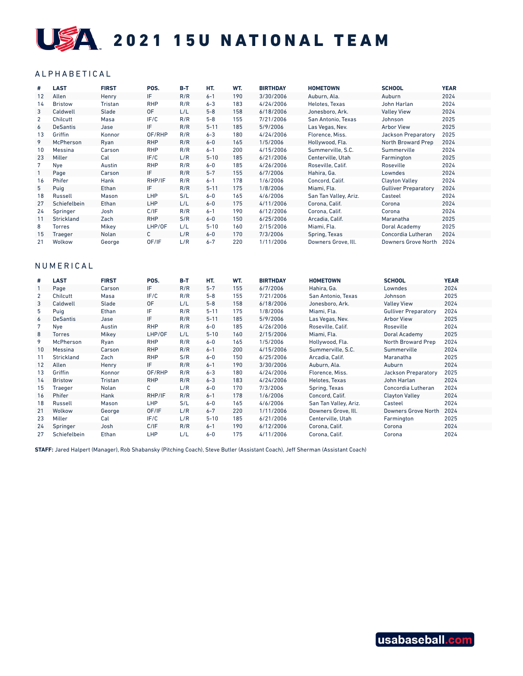# USA 2021 15U NATIONAL TEAM

## ALPHABETICAL

| #  | <b>LAST</b>       | <b>FIRST</b> | POS.       | $B-T$ | HT.      | WT. | <b>BIRTHDAY</b> | <b>HOMETOWN</b>       | <b>SCHOOL</b>               | <b>YEAR</b> |
|----|-------------------|--------------|------------|-------|----------|-----|-----------------|-----------------------|-----------------------------|-------------|
| 12 | Allen             | Henry        | IF.        | R/R   | $6 - 1$  | 190 | 3/30/2006       | Auburn, Ala.          | Auburn                      | 2024        |
| 14 | <b>Bristow</b>    | Tristan      | <b>RHP</b> | R/R   | $6 - 3$  | 183 | 4/24/2006       | Helotes. Texas        | John Harlan                 | 2024        |
| 3  | Caldwell          | Slade        | 0F         | L/L   | $5 - 8$  | 158 | 6/18/2006       | Jonesboro, Ark.       | <b>Valley View</b>          | 2024        |
| 2  | Chilcutt          | Masa         | IF/C       | R/R   | $5 - 8$  | 155 | 7/21/2006       | San Antonio. Texas    | Johnson                     | 2025        |
| 6  | <b>DeSantis</b>   | Jase         | IF         | R/R   | $5 - 11$ | 185 | 5/9/2006        | Las Vegas, Nev.       | <b>Arbor View</b>           | 2025        |
| 13 | Griffin           | Konnor       | OF/RHP     | R/R   | $6 - 3$  | 180 | 4/24/2006       | Florence, Miss.       | Jackson Preparatory         | 2025        |
| 9  | <b>McPherson</b>  | Ryan         | <b>RHP</b> | R/R   | $6 - 0$  | 165 | 1/5/2006        | Hollywood, Fla.       | North Broward Prep          | 2024        |
| 10 | Messina           | Carson       | <b>RHP</b> | R/R   | $6 - 1$  | 200 | 4/15/2006       | Summerville, S.C.     | Summerville                 | 2024        |
| 23 | Miller            | Cal          | IF/C       | L/R   | $5 - 10$ | 185 | 6/21/2006       | Centerville, Utah     | Farmington                  | 2025        |
| 7  | Nye               | Austin       | <b>RHP</b> | R/R   | $6-0$    | 185 | 4/26/2006       | Roseville, Calif.     | Roseville                   | 2024        |
|    | Page              | Carson       | IF         | R/R   | $5 - 7$  | 155 | 6/7/2006        | Hahira, Ga.           | Lowndes                     | 2024        |
| 16 | Phifer            | Hank         | RHP/IF     | R/R   | $6 - 1$  | 178 | 1/6/2006        | Concord, Calif.       | <b>Clayton Valley</b>       | 2024        |
| 5  | Puig              | Ethan        | IF         | R/R   | $5 - 11$ | 175 | 1/8/2006        | Miami, Fla.           | <b>Gulliver Preparatory</b> | 2024        |
| 18 | Russell           | Mason        | <b>LHP</b> | S/L   | $6-0$    | 165 | 4/6/2006        | San Tan Valley, Ariz. | Casteel                     | 2024        |
| 27 | Schiefelbein      | Ethan        | <b>LHP</b> | L/L   | $6 - 0$  | 175 | 4/11/2006       | Corona, Calif.        | Corona                      | 2024        |
| 24 | Springer          | Josh         | C/IF       | R/R   | $6 - 1$  | 190 | 6/12/2006       | Corona, Calif.        | Corona                      | 2024        |
| 11 | <b>Strickland</b> | Zach         | <b>RHP</b> | S/R   | $6 - 0$  | 150 | 6/25/2006       | Arcadia, Calif.       | Maranatha                   | 2025        |
| 8  | <b>Torres</b>     | Mikey        | LHP/OF     | L/L   | $5 - 10$ | 160 | 2/15/2006       | Miami. Fla.           | Doral Academy               | 2025        |
| 15 | Traeger           | Nolan        | С          | L/R   | $6-0$    | 170 | 7/3/2006        | Spring, Texas         | Concordia Lutheran          | 2024        |
| 21 | Wolkow            | George       | OF/IF      | L/R   | $6 - 7$  | 220 | 1/11/2006       | Downers Grove, Ill.   | <b>Downers Grove North</b>  | 2024        |

#### NUMERICAL

| #  | <b>LAST</b>     | <b>FIRST</b> | POS.       | B-T | HT.      | WT. | <b>BIRTHDAY</b> | <b>HOMETOWN</b>       | <b>SCHOOL</b>               | <b>YEAR</b> |
|----|-----------------|--------------|------------|-----|----------|-----|-----------------|-----------------------|-----------------------------|-------------|
|    | Page            | Carson       | IF.        | R/R | $5 - 7$  | 155 | 6/7/2006        | Hahira, Ga.           | Lowndes                     | 2024        |
| 2  | Chilcutt        | Masa         | IF/C       | R/R | $5 - 8$  | 155 | 7/21/2006       | San Antonio. Texas    | Johnson                     | 2025        |
| 3  | Caldwell        | Slade        | 0F         | L/L | $5 - 8$  | 158 | 6/18/2006       | Jonesboro, Ark.       | <b>Valley View</b>          | 2024        |
| 5  | Puig            | Ethan        | IF         | R/R | $5 - 11$ | 175 | 1/8/2006        | Miami. Fla.           | <b>Gulliver Preparatory</b> | 2024        |
| 6  | <b>DeSantis</b> | Jase         | IF.        | R/R | $5 - 11$ | 185 | 5/9/2006        | Las Vegas, Nev.       | <b>Arbor View</b>           | 2025        |
|    | Nye             | Austin       | <b>RHP</b> | R/R | $6-0$    | 185 | 4/26/2006       | Roseville, Calif.     | Roseville                   | 2024        |
| 8  | <b>Torres</b>   | Mikey        | LHP/OF     | L/L | $5 - 10$ | 160 | 2/15/2006       | Miami, Fla.           | Doral Academy               | 2025        |
| 9  | McPherson       | Ryan         | <b>RHP</b> | R/R | $6-0$    | 165 | 1/5/2006        | Hollywood, Fla.       | North Broward Prep          | 2024        |
| 10 | Messina         | Carson       | <b>RHP</b> | R/R | $6 - 1$  | 200 | 4/15/2006       | Summerville, S.C.     | Summerville                 | 2024        |
| 11 | Strickland      | Zach         | <b>RHP</b> | S/R | $6-0$    | 150 | 6/25/2006       | Arcadia. Calif.       | Maranatha                   | 2025        |
| 12 | Allen           | Henry        | IF.        | R/R | $6 - 1$  | 190 | 3/30/2006       | Auburn, Ala.          | Auburn                      | 2024        |
| 13 | Griffin         | Konnor       | OF/RHP     | R/R | $6 - 3$  | 180 | 4/24/2006       | Florence, Miss.       | Jackson Preparatory         | 2025        |
| 14 | <b>Bristow</b>  | Tristan      | <b>RHP</b> | R/R | $6 - 3$  | 183 | 4/24/2006       | Helotes, Texas        | John Harlan                 | 2024        |
| 15 | Traeger         | Nolan        | C          | L/R | $6-0$    | 170 | 7/3/2006        | Spring, Texas         | Concordia Lutheran          | 2024        |
| 16 | Phifer          | Hank         | RHP/IF     | R/R | $6 - 1$  | 178 | 1/6/2006        | Concord, Calif.       | <b>Clayton Valley</b>       | 2024        |
| 18 | Russell         | Mason        | LHP        | S/L | $6-0$    | 165 | 4/6/2006        | San Tan Valley, Ariz. | Casteel                     | 2024        |
| 21 | Wolkow          | George       | OF/IF      | L/R | $6 - 7$  | 220 | 1/11/2006       | Downers Grove, Ill.   | Downers Grove North         | 2024        |
| 23 | Miller          | Cal          | IF/C       | L/R | $5 - 10$ | 185 | 6/21/2006       | Centerville, Utah     | Farmington                  | 2025        |
| 24 | Springer        | Josh         | C/IF       | R/R | $6 - 1$  | 190 | 6/12/2006       | Corona, Calif.        | Corona                      | 2024        |
| 27 | Schiefelbein    | Ethan        | LHP        | L/L | $6-0$    | 175 | 4/11/2006       | Corona, Calif.        | Corona                      | 2024        |

**STAFF:** Jared Halpert (Manager), Rob Shabansky (Pitching Coach), Steve Butler (Assistant Coach), Jeff Sherman (Assistant Coach)